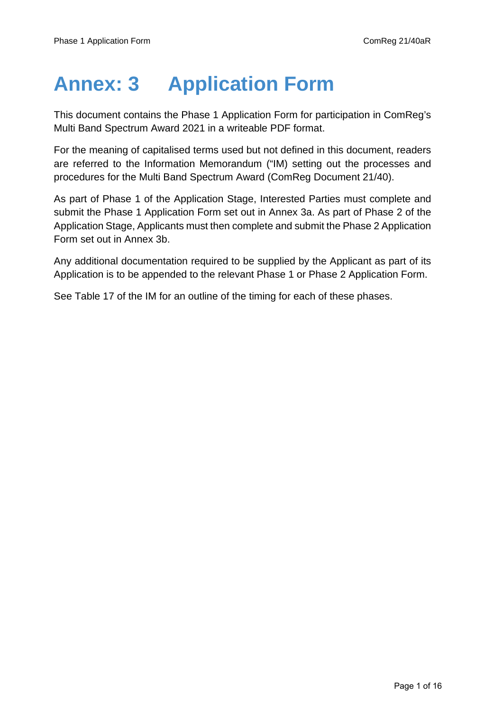# **Annex: 3 Application Form**

This document contains the Phase 1 Application Form for participation in ComReg's Multi Band Spectrum Award 2021 in a writeable PDF format.

For the meaning of capitalised terms used but not defined in this document, readers are referred to the Information Memorandum ("IM) setting out the processes and procedures for the Multi Band Spectrum Award (ComReg Document 21/40).

As part of Phase 1 of the Application Stage, Interested Parties must complete and submit the Phase 1 Application Form set out in Annex 3a. As part of Phase 2 of the Application Stage, Applicants must then complete and submit the Phase 2 Application Form set out in Annex 3b.

Any additional documentation required to be supplied by the Applicant as part of its Application is to be appended to the relevant Phase 1 or Phase 2 Application Form.

See Table 17 of the IM for an outline of the timing for each of these phases.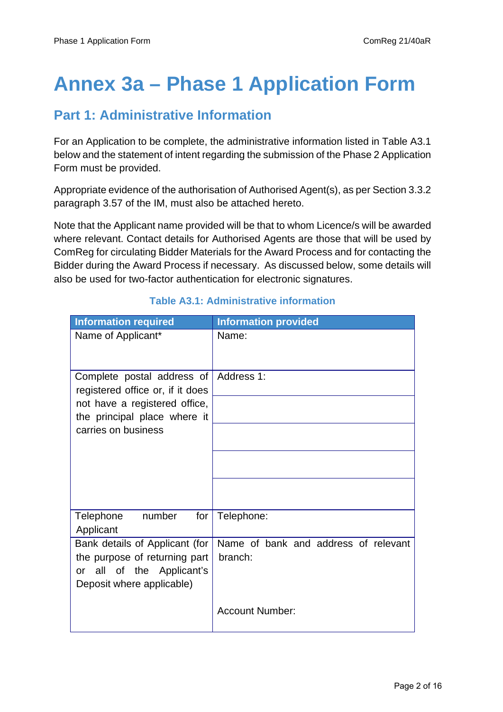## **Annex 3a – Phase 1 Application Form**

#### **Part 1: Administrative Information**

For an Application to be complete, the administrative information listed in Table A3.1 below and the statement of intent regarding the submission of the Phase 2 Application Form must be provided.

Appropriate evidence of the authorisation of Authorised Agent(s), as per Section 3.3.2 paragraph 3.57 of the IM, must also be attached hereto.

Note that the Applicant name provided will be that to whom Licence/s will be awarded where relevant. Contact details for Authorised Agents are those that will be used by ComReg for circulating Bidder Materials for the Award Process and for contacting the Bidder during the Award Process if necessary. As discussed below, some details will also be used for two-factor authentication for electronic signatures.

| <b>Information required</b>                                                                                                  | <b>Information provided</b>                     |
|------------------------------------------------------------------------------------------------------------------------------|-------------------------------------------------|
| Name of Applicant*                                                                                                           | Name:                                           |
| Complete postal address of<br>registered office or, if it does                                                               | Address 1:                                      |
| not have a registered office,<br>the principal place where it                                                                |                                                 |
| carries on business                                                                                                          |                                                 |
|                                                                                                                              |                                                 |
|                                                                                                                              |                                                 |
| number<br>Telephone<br>for<br>Applicant                                                                                      | Telephone:                                      |
| Bank details of Applicant (for<br>the purpose of returning part<br>all of the Applicant's<br>or<br>Deposit where applicable) | Name of bank and address of relevant<br>branch: |
|                                                                                                                              | <b>Account Number:</b>                          |

#### **Table A3.1: Administrative information**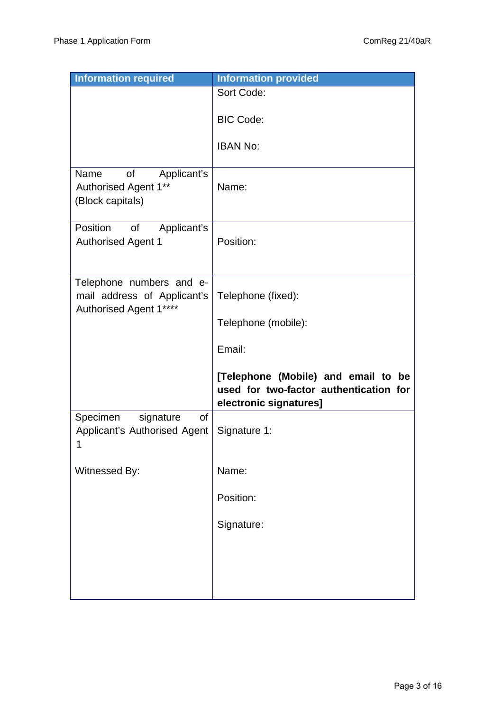| <b>Information required</b>                                                       | <b>Information provided</b>                                                                             |
|-----------------------------------------------------------------------------------|---------------------------------------------------------------------------------------------------------|
|                                                                                   | Sort Code:                                                                                              |
|                                                                                   | <b>BIC Code:</b>                                                                                        |
|                                                                                   | <b>IBAN No:</b>                                                                                         |
| of<br>Applicant's<br>Name<br>Authorised Agent 1**<br>(Block capitals)             | Name:                                                                                                   |
| Position<br>Applicant's<br><b>of</b><br><b>Authorised Agent 1</b>                 | Position:                                                                                               |
| Telephone numbers and e-<br>mail address of Applicant's<br>Authorised Agent 1**** | Telephone (fixed):                                                                                      |
|                                                                                   | Telephone (mobile):                                                                                     |
|                                                                                   | Email:                                                                                                  |
|                                                                                   | [Telephone (Mobile) and email to be<br>used for two-factor authentication for<br>electronic signatures] |
| Specimen<br>signature<br>οf<br>Applicant's Authorised Agent<br>1                  | Signature 1:                                                                                            |
| Witnessed By:                                                                     | Name:                                                                                                   |
|                                                                                   | Position:                                                                                               |
|                                                                                   | Signature:                                                                                              |
|                                                                                   |                                                                                                         |
|                                                                                   |                                                                                                         |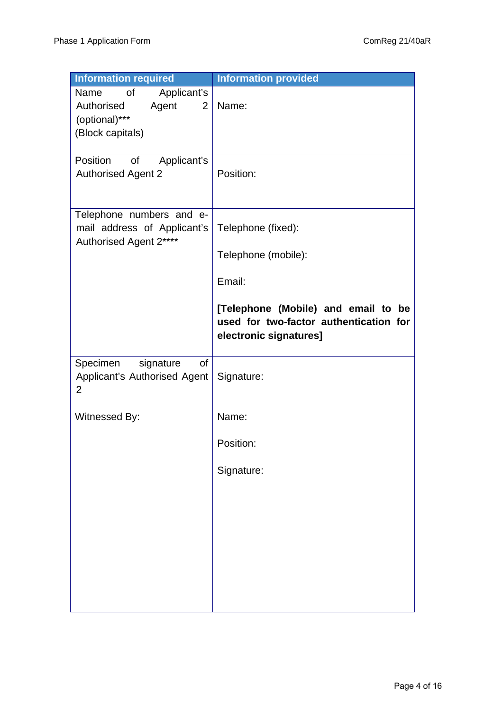| <b>Information required</b>                                                                             | <b>Information provided</b>                                                                             |
|---------------------------------------------------------------------------------------------------------|---------------------------------------------------------------------------------------------------------|
| of<br>Applicant's<br>Name<br>Authorised<br>Agent<br>$\overline{2}$<br>(optional)***<br>(Block capitals) | Name:                                                                                                   |
| Position<br>Applicant's<br>of<br><b>Authorised Agent 2</b>                                              | Position:                                                                                               |
| Telephone numbers and e-<br>mail address of Applicant's<br>Authorised Agent 2****                       | Telephone (fixed):                                                                                      |
|                                                                                                         | Telephone (mobile):                                                                                     |
|                                                                                                         | Email:                                                                                                  |
|                                                                                                         | [Telephone (Mobile) and email to be<br>used for two-factor authentication for<br>electronic signatures] |
| Specimen<br>signature<br>of<br>Applicant's Authorised Agent<br>2                                        | Signature:                                                                                              |
| Witnessed By:                                                                                           | Name:                                                                                                   |
|                                                                                                         | Position:                                                                                               |
|                                                                                                         | Signature:                                                                                              |
|                                                                                                         |                                                                                                         |
|                                                                                                         |                                                                                                         |
|                                                                                                         |                                                                                                         |
|                                                                                                         |                                                                                                         |
|                                                                                                         |                                                                                                         |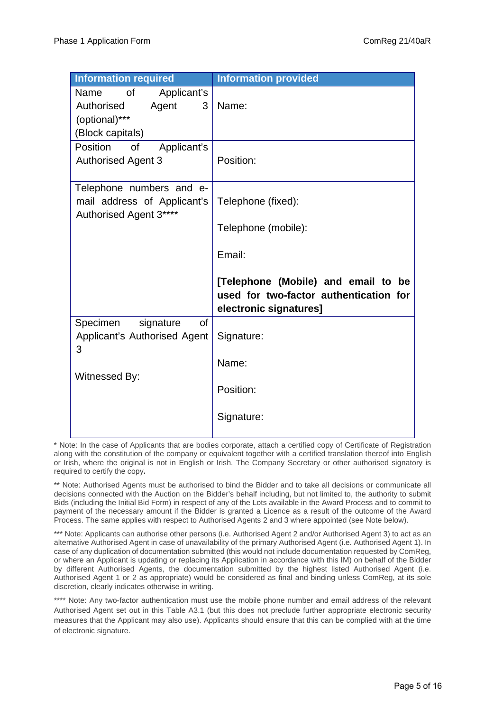| <b>Information required</b>                                                                | <b>Information provided</b>                                                                             |
|--------------------------------------------------------------------------------------------|---------------------------------------------------------------------------------------------------------|
| of<br>Applicant's<br>Name<br>Authorised<br>Agent<br>3<br>(optional)***<br>(Block capitals) | Name:                                                                                                   |
| Position<br>Applicant's<br>of                                                              |                                                                                                         |
| <b>Authorised Agent 3</b>                                                                  | Position:                                                                                               |
| Telephone numbers and e-<br>mail address of Applicant's<br>Authorised Agent 3****          | Telephone (fixed):                                                                                      |
|                                                                                            | Telephone (mobile):                                                                                     |
|                                                                                            | Email:                                                                                                  |
|                                                                                            | [Telephone (Mobile) and email to be<br>used for two-factor authentication for<br>electronic signatures] |
| Specimen<br>signature<br>οf<br>Applicant's Authorised Agent<br>3<br>Witnessed By:          | Signature:                                                                                              |
|                                                                                            | Name:                                                                                                   |
|                                                                                            | Position:                                                                                               |
|                                                                                            | Signature:                                                                                              |

\* Note: In the case of Applicants that are bodies corporate, attach a certified copy of Certificate of Registration along with the constitution of the company or equivalent together with a certified translation thereof into English or Irish, where the original is not in English or Irish. The Company Secretary or other authorised signatory is required to certify the copy**.**

\*\* Note: Authorised Agents must be authorised to bind the Bidder and to take all decisions or communicate all decisions connected with the Auction on the Bidder's behalf including, but not limited to, the authority to submit Bids (including the Initial Bid Form) in respect of any of the Lots available in the Award Process and to commit to payment of the necessary amount if the Bidder is granted a Licence as a result of the outcome of the Award Process. The same applies with respect to Authorised Agents 2 and 3 where appointed (see Note below).

\*\*\* Note: Applicants can authorise other persons (i.e. Authorised Agent 2 and/or Authorised Agent 3) to act as an alternative Authorised Agent in case of unavailability of the primary Authorised Agent (i.e. Authorised Agent 1). In case of any duplication of documentation submitted (this would not include documentation requested by ComReg, or where an Applicant is updating or replacing its Application in accordance with this IM) on behalf of the Bidder by different Authorised Agents, the documentation submitted by the highest listed Authorised Agent (i.e. Authorised Agent 1 or 2 as appropriate) would be considered as final and binding unless ComReg, at its sole discretion, clearly indicates otherwise in writing.

\*\*\*\* Note: Any two-factor authentication must use the mobile phone number and email address of the relevant Authorised Agent set out in this Table A3.1 (but this does not preclude further appropriate electronic security measures that the Applicant may also use). Applicants should ensure that this can be complied with at the time of electronic signature.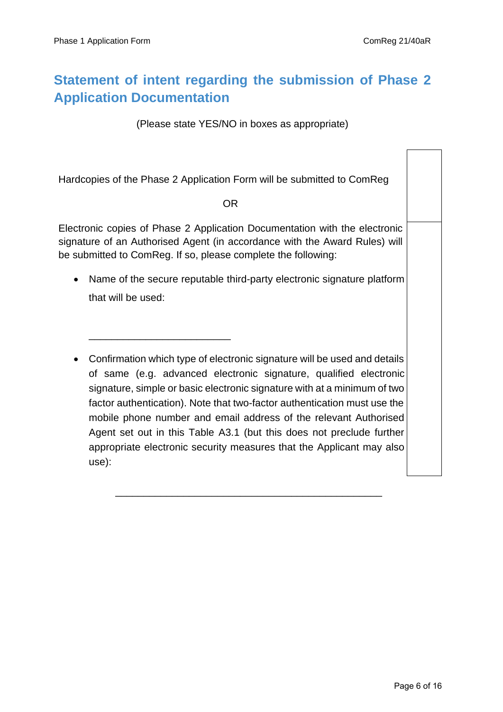## **Statement of intent regarding the submission of Phase 2 Application Documentation**

(Please state YES/NO in boxes as appropriate)

Hardcopies of the Phase 2 Application Form will be submitted to ComReg

#### OR

Electronic copies of Phase 2 Application Documentation with the electronic signature of an Authorised Agent (in accordance with the Award Rules) will be submitted to ComReg. If so, please complete the following:

\_\_\_\_\_\_\_\_\_\_\_\_\_\_\_\_\_\_\_\_\_\_\_\_\_

- Name of the secure reputable third-party electronic signature platform that will be used:
- Confirmation which type of electronic signature will be used and details of same (e.g. advanced electronic signature, qualified electronic signature, simple or basic electronic signature with at a minimum of two factor authentication). Note that two-factor authentication must use the mobile phone number and email address of the relevant Authorised Agent set out in this Table A3.1 (but this does not preclude further appropriate electronic security measures that the Applicant may also use):

\_\_\_\_\_\_\_\_\_\_\_\_\_\_\_\_\_\_\_\_\_\_\_\_\_\_\_\_\_\_\_\_\_\_\_\_\_\_\_\_\_\_\_\_\_\_\_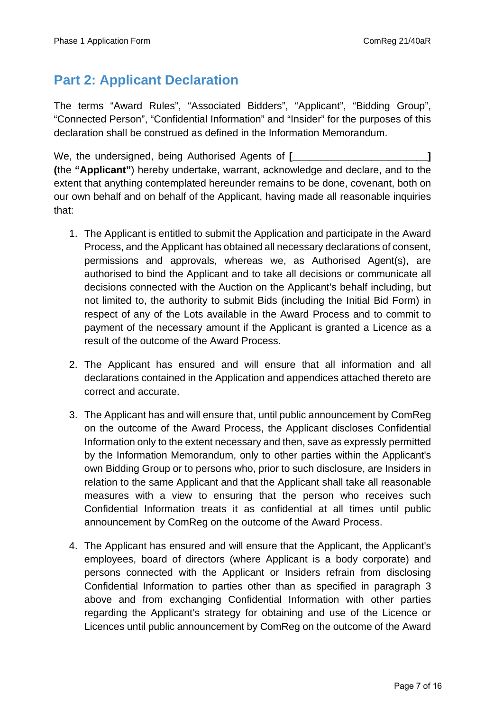### **Part 2: Applicant Declaration**

The terms "Award Rules", "Associated Bidders", "Applicant", "Bidding Group", "Connected Person", "Confidential Information" and "Insider" for the purposes of this declaration shall be construed as defined in the Information Memorandum.

We, the undersigned, being Authorised Agents of **[** [ [ [ [ ] ] **] (**the **"Applicant"**) hereby undertake, warrant, acknowledge and declare, and to the extent that anything contemplated hereunder remains to be done, covenant, both on our own behalf and on behalf of the Applicant, having made all reasonable inquiries that:

- 1. The Applicant is entitled to submit the Application and participate in the Award Process, and the Applicant has obtained all necessary declarations of consent, permissions and approvals, whereas we, as Authorised Agent(s), are authorised to bind the Applicant and to take all decisions or communicate all decisions connected with the Auction on the Applicant's behalf including, but not limited to, the authority to submit Bids (including the Initial Bid Form) in respect of any of the Lots available in the Award Process and to commit to payment of the necessary amount if the Applicant is granted a Licence as a result of the outcome of the Award Process.
- 2. The Applicant has ensured and will ensure that all information and all declarations contained in the Application and appendices attached thereto are correct and accurate.
- 3. The Applicant has and will ensure that, until public announcement by ComReg on the outcome of the Award Process, the Applicant discloses Confidential Information only to the extent necessary and then, save as expressly permitted by the Information Memorandum, only to other parties within the Applicant's own Bidding Group or to persons who, prior to such disclosure, are Insiders in relation to the same Applicant and that the Applicant shall take all reasonable measures with a view to ensuring that the person who receives such Confidential Information treats it as confidential at all times until public announcement by ComReg on the outcome of the Award Process.
- 4. The Applicant has ensured and will ensure that the Applicant, the Applicant's employees, board of directors (where Applicant is a body corporate) and persons connected with the Applicant or Insiders refrain from disclosing Confidential Information to parties other than as specified in paragraph 3 above and from exchanging Confidential Information with other parties regarding the Applicant's strategy for obtaining and use of the Licence or Licences until public announcement by ComReg on the outcome of the Award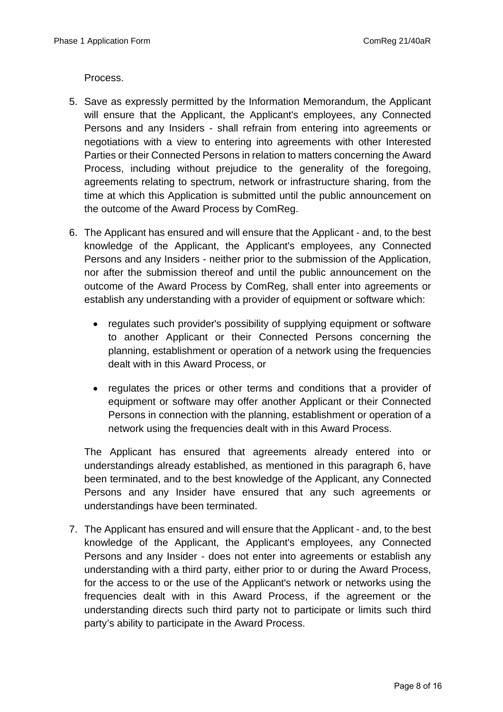Process.

- 5. Save as expressly permitted by the Information Memorandum, the Applicant will ensure that the Applicant, the Applicant's employees, any Connected Persons and any Insiders - shall refrain from entering into agreements or negotiations with a view to entering into agreements with other Interested Parties or their Connected Persons in relation to matters concerning the Award Process, including without prejudice to the generality of the foregoing, agreements relating to spectrum, network or infrastructure sharing, from the time at which this Application is submitted until the public announcement on the outcome of the Award Process by ComReg.
- 6. The Applicant has ensured and will ensure that the Applicant and, to the best knowledge of the Applicant, the Applicant's employees, any Connected Persons and any Insiders - neither prior to the submission of the Application, nor after the submission thereof and until the public announcement on the outcome of the Award Process by ComReg, shall enter into agreements or establish any understanding with a provider of equipment or software which:
	- regulates such provider's possibility of supplying equipment or software to another Applicant or their Connected Persons concerning the planning, establishment or operation of a network using the frequencies dealt with in this Award Process, or
	- regulates the prices or other terms and conditions that a provider of equipment or software may offer another Applicant or their Connected Persons in connection with the planning, establishment or operation of a network using the frequencies dealt with in this Award Process.

The Applicant has ensured that agreements already entered into or understandings already established, as mentioned in this paragraph 6, have been terminated, and to the best knowledge of the Applicant, any Connected Persons and any Insider have ensured that any such agreements or understandings have been terminated.

7. The Applicant has ensured and will ensure that the Applicant - and, to the best knowledge of the Applicant, the Applicant's employees, any Connected Persons and any Insider - does not enter into agreements or establish any understanding with a third party, either prior to or during the Award Process, for the access to or the use of the Applicant's network or networks using the frequencies dealt with in this Award Process, if the agreement or the understanding directs such third party not to participate or limits such third party's ability to participate in the Award Process.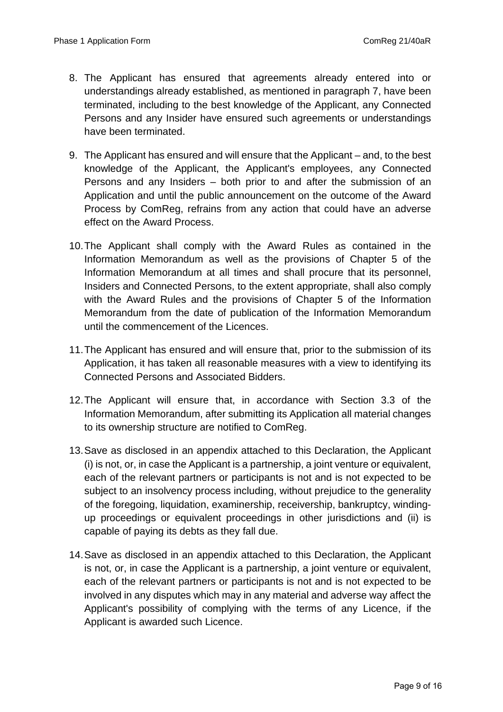- 8. The Applicant has ensured that agreements already entered into or understandings already established, as mentioned in paragraph 7, have been terminated, including to the best knowledge of the Applicant, any Connected Persons and any Insider have ensured such agreements or understandings have been terminated.
- 9. The Applicant has ensured and will ensure that the Applicant and, to the best knowledge of the Applicant, the Applicant's employees, any Connected Persons and any Insiders – both prior to and after the submission of an Application and until the public announcement on the outcome of the Award Process by ComReg, refrains from any action that could have an adverse effect on the Award Process.
- 10.The Applicant shall comply with the Award Rules as contained in the Information Memorandum as well as the provisions of Chapter 5 of the Information Memorandum at all times and shall procure that its personnel, Insiders and Connected Persons, to the extent appropriate, shall also comply with the Award Rules and the provisions of Chapter 5 of the Information Memorandum from the date of publication of the Information Memorandum until the commencement of the Licences.
- 11.The Applicant has ensured and will ensure that, prior to the submission of its Application, it has taken all reasonable measures with a view to identifying its Connected Persons and Associated Bidders.
- 12.The Applicant will ensure that, in accordance with Section 3.3 of the Information Memorandum, after submitting its Application all material changes to its ownership structure are notified to ComReg.
- 13.Save as disclosed in an appendix attached to this Declaration, the Applicant (i) is not, or, in case the Applicant is a partnership, a joint venture or equivalent, each of the relevant partners or participants is not and is not expected to be subject to an insolvency process including, without prejudice to the generality of the foregoing, liquidation, examinership, receivership, bankruptcy, windingup proceedings or equivalent proceedings in other jurisdictions and (ii) is capable of paying its debts as they fall due.
- 14.Save as disclosed in an appendix attached to this Declaration, the Applicant is not, or, in case the Applicant is a partnership, a joint venture or equivalent, each of the relevant partners or participants is not and is not expected to be involved in any disputes which may in any material and adverse way affect the Applicant's possibility of complying with the terms of any Licence, if the Applicant is awarded such Licence.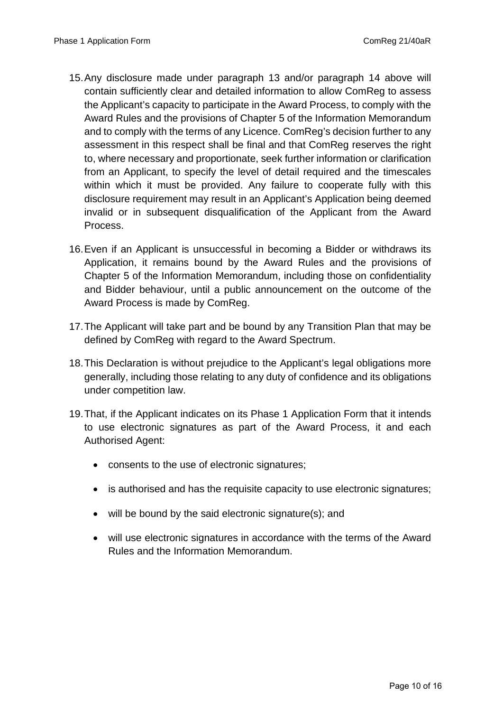- 15. Any disclosure made under paragraph 13 and/or paragraph 14 above will contain sufficiently clear and detailed information to allow ComReg to assess the Applicant's capacity to participate in the Award Process, to comply with the Award Rules and the provisions of Chapter 5 of the Information Memorandum and to comply with the terms of any Licence. ComReg's decision further to any assessment in this respect shall be final and that ComReg reserves the right to, where necessary and proportionate, seek further information or clarification from an Applicant, to specify the level of detail required and the timescales within which it must be provided. Any failure to cooperate fully with this disclosure requirement may result in an Applicant's Application being deemed invalid or in subsequent disqualification of the Applicant from the Award Process.
- 16. Even if an Applicant is unsuccessful in becoming a Bidder or withdraws its Application, it remains bound by the Award Rules and the provisions of Chapter 5 of the Information Memorandum, including those on confidentiality and Bidder behaviour, until a public announcement on the outcome of the Award Process is made by ComReg.
- 17.The Applicant will take part and be bound by any Transition Plan that may be defined by ComReg with regard to the Award Spectrum.
- 18.This Declaration is without prejudice to the Applicant's legal obligations more generally, including those relating to any duty of confidence and its obligations under competition law.
- 19.That, if the Applicant indicates on its Phase 1 Application Form that it intends to use electronic signatures as part of the Award Process, it and each Authorised Agent:
	- consents to the use of electronic signatures;
	- is authorised and has the requisite capacity to use electronic signatures;
	- will be bound by the said electronic signature(s); and
	- will use electronic signatures in accordance with the terms of the Award Rules and the Information Memorandum.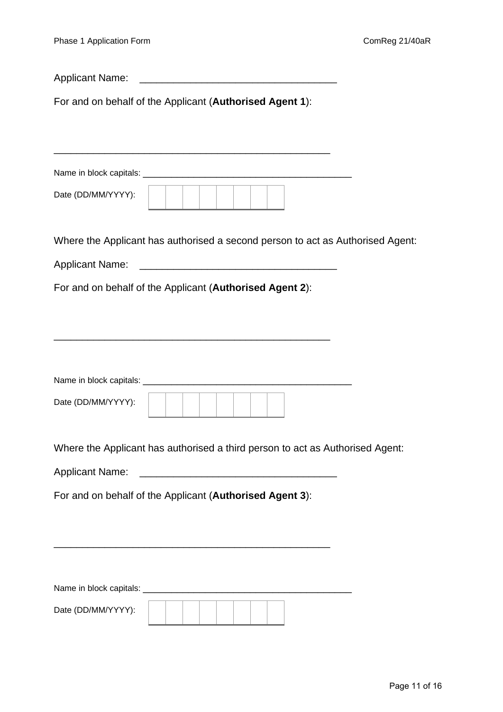| <b>Applicant Name:</b><br><u> 2000 - Jan James James James James James James James James James James James James James James James James Ja</u> |
|-------------------------------------------------------------------------------------------------------------------------------------------------|
| For and on behalf of the Applicant (Authorised Agent 1):                                                                                        |
|                                                                                                                                                 |
|                                                                                                                                                 |
| Date (DD/MM/YYYY):                                                                                                                              |
| Where the Applicant has authorised a second person to act as Authorised Agent:                                                                  |
|                                                                                                                                                 |
| For and on behalf of the Applicant (Authorised Agent 2):                                                                                        |
|                                                                                                                                                 |
|                                                                                                                                                 |
|                                                                                                                                                 |
|                                                                                                                                                 |
| Date (DD/MM/YYYY):                                                                                                                              |
| Where the Applicant has authorised a third person to act as Authorised Agent:                                                                   |
|                                                                                                                                                 |
| For and on behalf of the Applicant (Authorised Agent 3):                                                                                        |
|                                                                                                                                                 |
|                                                                                                                                                 |
|                                                                                                                                                 |
|                                                                                                                                                 |
| Date (DD/MM/YYYY):                                                                                                                              |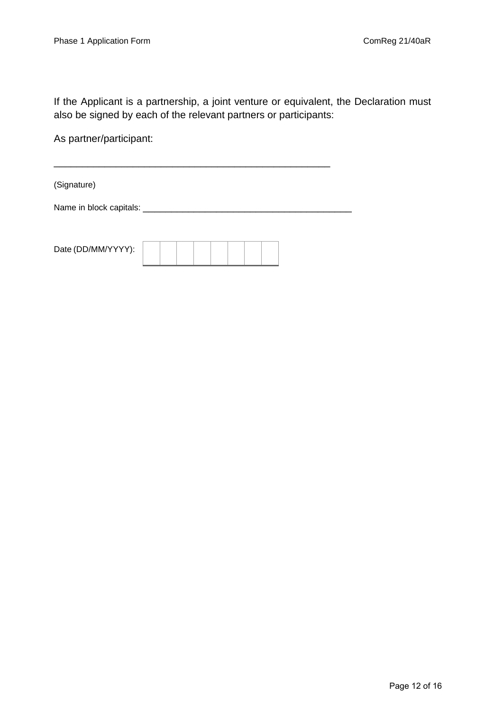If the Applicant is a partnership, a joint venture or equivalent, the Declaration must also be signed by each of the relevant partners or participants:

As partner/participant:

(Signature)

Name in block capitals: \_\_\_\_\_\_\_\_\_\_\_\_\_\_\_\_\_\_\_\_\_\_\_\_\_\_\_\_\_\_\_\_\_\_\_\_\_

\_\_\_\_\_\_\_\_\_\_\_\_\_\_\_\_\_\_\_\_\_\_\_\_\_\_\_\_\_\_\_\_\_\_\_\_\_\_\_\_\_\_\_\_\_\_\_\_\_

| Date (DD/MM/YYYY): |  |  |  |  |  |
|--------------------|--|--|--|--|--|
|                    |  |  |  |  |  |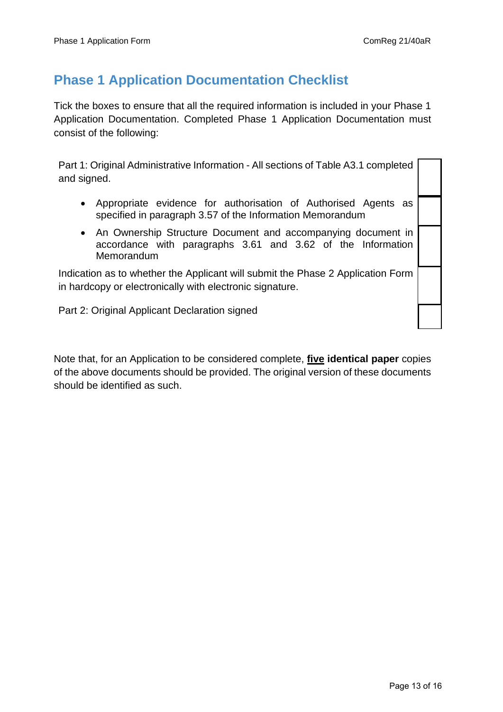#### **Phase 1 Application Documentation Checklist**

Tick the boxes to ensure that all the required information is included in your Phase 1 Application Documentation. Completed Phase 1 Application Documentation must consist of the following:

Part 1: Original Administrative Information - All sections of Table A3.1 completed and signed.

- Appropriate evidence for authorisation of Authorised Agents as specified in paragraph 3.57 of the Information Memorandum
- An Ownership Structure Document and accompanying document in accordance with paragraphs 3.61 and 3.62 of the Information Memorandum

Indication as to whether the Applicant will submit the Phase 2 Application Form in hardcopy or electronically with electronic signature.

Part 2: Original Applicant Declaration signed

Note that, for an Application to be considered complete, **five identical paper** copies of the above documents should be provided. The original version of these documents should be identified as such.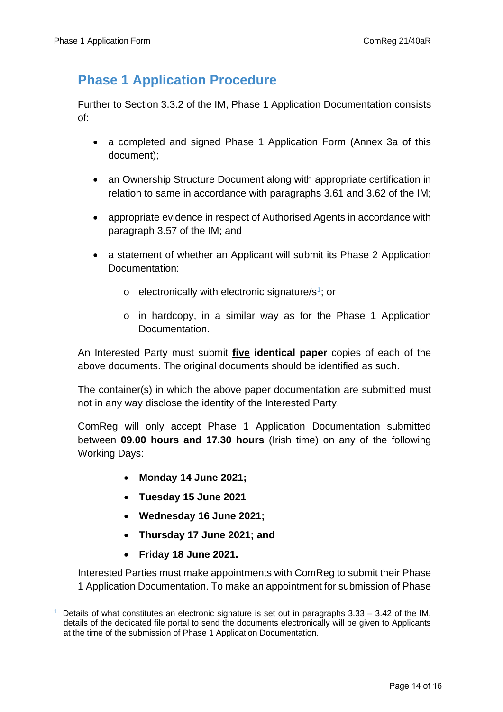### **Phase 1 Application Procedure**

Further to Section 3.3.2 of the IM, Phase 1 Application Documentation consists of:

- a completed and signed Phase 1 Application Form (Annex 3a of this document);
- an Ownership Structure Document along with appropriate certification in relation to same in accordance with paragraphs 3.61 and 3.62 of the IM;
- appropriate evidence in respect of Authorised Agents in accordance with paragraph 3.57 of the IM; and
- a statement of whether an Applicant will submit its Phase 2 Application Documentation:
	- $\circ$  electronically with electronic signature/s<sup>1</sup>; or
	- o in hardcopy, in a similar way as for the Phase 1 Application Documentation.

An Interested Party must submit **five identical paper** copies of each of the above documents. The original documents should be identified as such.

The container(s) in which the above paper documentation are submitted must not in any way disclose the identity of the Interested Party.

ComReg will only accept Phase 1 Application Documentation submitted between **09.00 hours and 17.30 hours** (Irish time) on any of the following Working Days:

- **Monday 14 June 2021;**
- **Tuesday 15 June 2021**
- **Wednesday 16 June 2021;**
- **Thursday 17 June 2021; and**
- **Friday 18 June 2021.**

Interested Parties must make appointments with ComReg to submit their Phase 1 Application Documentation. To make an appointment for submission of Phase

<span id="page-13-0"></span>Details of what constitutes an electronic signature is set out in paragraphs 3.33 – 3.42 of the IM, details of the dedicated file portal to send the documents electronically will be given to Applicants at the time of the submission of Phase 1 Application Documentation.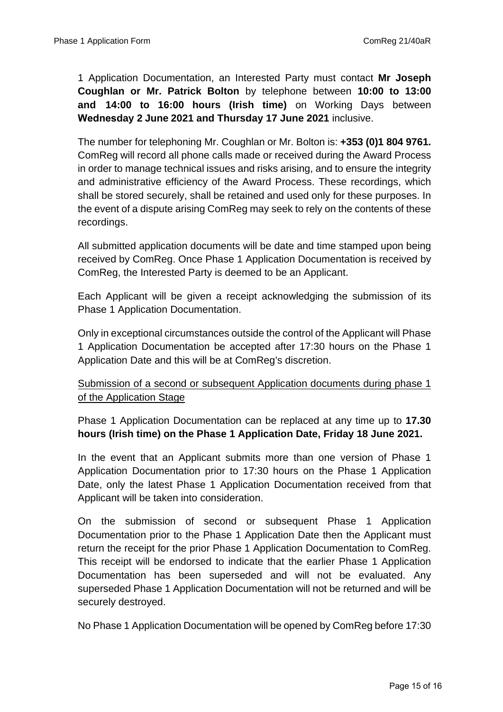1 Application Documentation, an Interested Party must contact **Mr Joseph Coughlan or Mr. Patrick Bolton** by telephone between **10:00 to 13:00 and 14:00 to 16:00 hours (Irish time)** on Working Days between **Wednesday 2 June 2021 and Thursday 17 June 2021** inclusive.

The number for telephoning Mr. Coughlan or Mr. Bolton is: **+353 (0)1 804 9761.**  ComReg will record all phone calls made or received during the Award Process in order to manage technical issues and risks arising, and to ensure the integrity and administrative efficiency of the Award Process. These recordings, which shall be stored securely, shall be retained and used only for these purposes. In the event of a dispute arising ComReg may seek to rely on the contents of these recordings.

All submitted application documents will be date and time stamped upon being received by ComReg. Once Phase 1 Application Documentation is received by ComReg, the Interested Party is deemed to be an Applicant.

Each Applicant will be given a receipt acknowledging the submission of its Phase 1 Application Documentation.

Only in exceptional circumstances outside the control of the Applicant will Phase 1 Application Documentation be accepted after 17:30 hours on the Phase 1 Application Date and this will be at ComReg's discretion.

Submission of a second or subsequent Application documents during phase 1 of the Application Stage

Phase 1 Application Documentation can be replaced at any time up to **17.30 hours (Irish time) on the Phase 1 Application Date, Friday 18 June 2021.**

In the event that an Applicant submits more than one version of Phase 1 Application Documentation prior to 17:30 hours on the Phase 1 Application Date, only the latest Phase 1 Application Documentation received from that Applicant will be taken into consideration.

On the submission of second or subsequent Phase 1 Application Documentation prior to the Phase 1 Application Date then the Applicant must return the receipt for the prior Phase 1 Application Documentation to ComReg. This receipt will be endorsed to indicate that the earlier Phase 1 Application Documentation has been superseded and will not be evaluated. Any superseded Phase 1 Application Documentation will not be returned and will be securely destroyed.

No Phase 1 Application Documentation will be opened by ComReg before 17:30